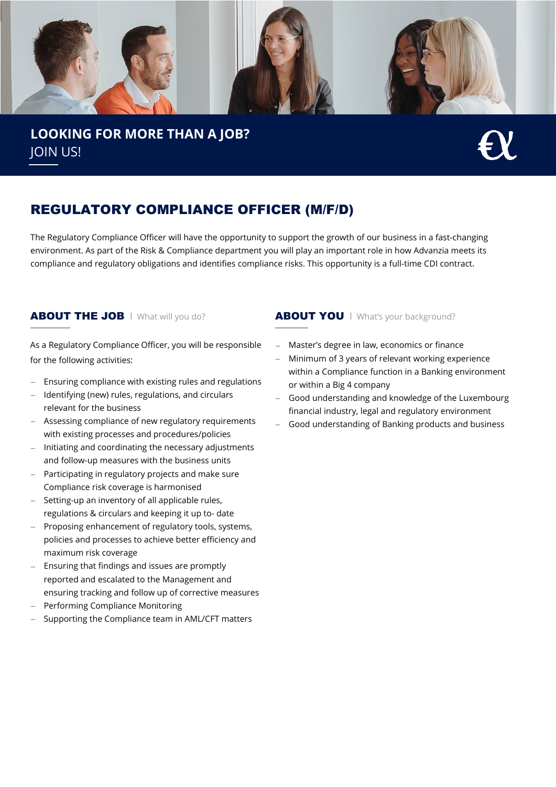

## **LOOKING FOR MORE THAN A JOB?** JOIN US!

## REGULATORY COMPLIANCE OFFICER (M/F/D)

The Regulatory Compliance Officer will have the opportunity to support the growth of our business in a fast-changing environment. As part of the Risk & Compliance department you will play an important role in how Advanzia meets its compliance and regulatory obligations and identifies compliance risks. This opportunity is a full-time CDI contract.

As a Regulatory Compliance Officer, you will be responsible for the following activities:

- Ensuring compliance with existing rules and regulations
- − Identifying (new) rules, regulations, and circulars relevant for the business
- − Assessing compliance of new regulatory requirements with existing processes and procedures/policies
- Initiating and coordinating the necessary adjustments and follow-up measures with the business units
- − Participating in regulatory projects and make sure Compliance risk coverage is harmonised
- − Setting-up an inventory of all applicable rules, regulations & circulars and keeping it up to- date
- − Proposing enhancement of regulatory tools, systems, policies and processes to achieve better efficiency and maximum risk coverage
- Ensuring that findings and issues are promptly reported and escalated to the Management and ensuring tracking and follow up of corrective measures
- − Performing Compliance Monitoring
- − Supporting the Compliance team in AML/CFT matters

### ABOUT THE JOB | What will you do? <br>
ABOUT YOU | What's your background?

- − Master's degree in law, economics or finance
- Minimum of 3 years of relevant working experience within a Compliance function in a Banking environment or within a Big 4 company
- Good understanding and knowledge of the Luxembourg financial industry, legal and regulatory environment
- Good understanding of Banking products and business